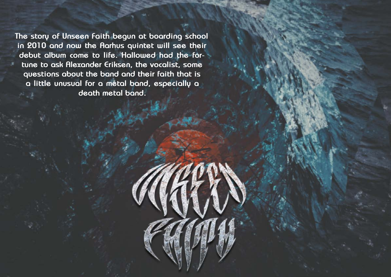**The story of Unseen Faith begun at boarding school in 2010 and now the Aarhus quintet will see their debut album come to life. Hallowed had the fortune to ask Alexander Eriksen, the vocalist, some questions about the band and their faith that is a little unusual for a metal band, especially a death metal band.**